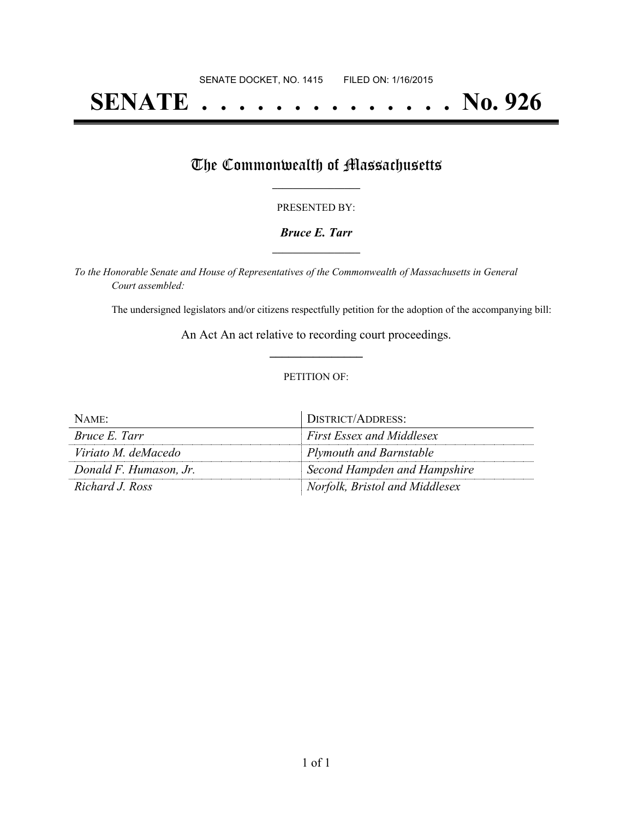# **SENATE . . . . . . . . . . . . . . No. 926**

## The Commonwealth of Massachusetts

#### PRESENTED BY:

#### *Bruce E. Tarr* **\_\_\_\_\_\_\_\_\_\_\_\_\_\_\_\_\_**

*To the Honorable Senate and House of Representatives of the Commonwealth of Massachusetts in General Court assembled:*

The undersigned legislators and/or citizens respectfully petition for the adoption of the accompanying bill:

An Act An act relative to recording court proceedings. **\_\_\_\_\_\_\_\_\_\_\_\_\_\_\_**

#### PETITION OF:

| NAME:                  | DISTRICT/ADDRESS:                |
|------------------------|----------------------------------|
| Bruce E. Tarr          | <b>First Essex and Middlesex</b> |
| Viriato M. deMacedo    | <b>Plymouth and Barnstable</b>   |
| Donald F. Humason, Jr. | Second Hampden and Hampshire     |
| Richard J. Ross        | Norfolk, Bristol and Middlesex   |